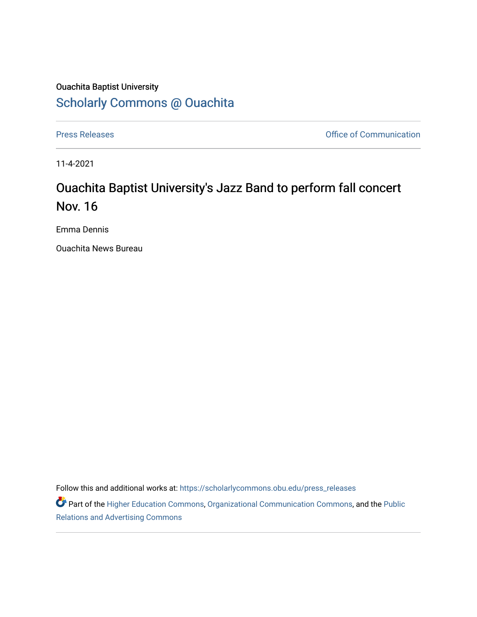## Ouachita Baptist University [Scholarly Commons @ Ouachita](https://scholarlycommons.obu.edu/)

[Press Releases](https://scholarlycommons.obu.edu/press_releases) **Press Releases Communication** 

11-4-2021

# Ouachita Baptist University's Jazz Band to perform fall concert Nov. 16

Emma Dennis

Ouachita News Bureau

Follow this and additional works at: [https://scholarlycommons.obu.edu/press\\_releases](https://scholarlycommons.obu.edu/press_releases?utm_source=scholarlycommons.obu.edu%2Fpress_releases%2F905&utm_medium=PDF&utm_campaign=PDFCoverPages)

Part of the [Higher Education Commons,](http://network.bepress.com/hgg/discipline/1245?utm_source=scholarlycommons.obu.edu%2Fpress_releases%2F905&utm_medium=PDF&utm_campaign=PDFCoverPages) [Organizational Communication Commons,](http://network.bepress.com/hgg/discipline/335?utm_source=scholarlycommons.obu.edu%2Fpress_releases%2F905&utm_medium=PDF&utm_campaign=PDFCoverPages) and the [Public](http://network.bepress.com/hgg/discipline/336?utm_source=scholarlycommons.obu.edu%2Fpress_releases%2F905&utm_medium=PDF&utm_campaign=PDFCoverPages) [Relations and Advertising Commons](http://network.bepress.com/hgg/discipline/336?utm_source=scholarlycommons.obu.edu%2Fpress_releases%2F905&utm_medium=PDF&utm_campaign=PDFCoverPages)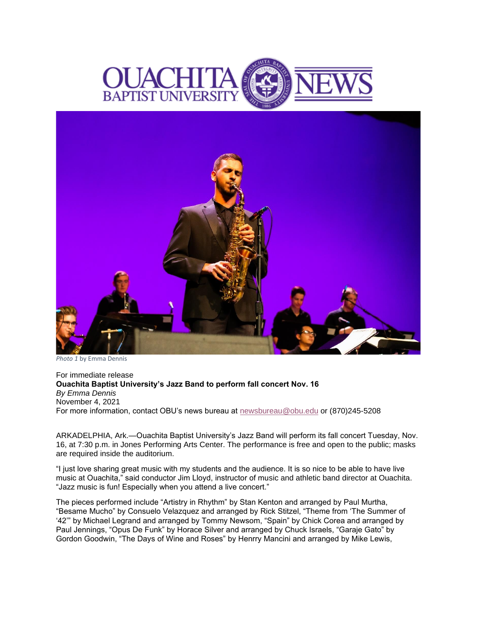



*Photo 1* by Emma Dennis

For immediate release **Ouachita Baptist University's Jazz Band to perform fall concert Nov. 16** *By Emma Dennis* November 4, 2021 For more information, contact OBU's news bureau at [newsbureau@obu.edu](mailto:newsbureau@obu.edu) or (870)245-5208

ARKADELPHIA, Ark.—Ouachita Baptist University's Jazz Band will perform its fall concert Tuesday, Nov. 16, at 7:30 p.m. in Jones Performing Arts Center. The performance is free and open to the public; masks are required inside the auditorium.

"I just love sharing great music with my students and the audience. It is so nice to be able to have live music at Ouachita," said conductor Jim Lloyd, instructor of music and athletic band director at Ouachita. "Jazz music is fun! Especially when you attend a live concert."

The pieces performed include "Artistry in Rhythm" by Stan Kenton and arranged by Paul Murtha, "Besame Mucho" by Consuelo Velazquez and arranged by Rick Stitzel, "Theme from 'The Summer of '42'" by Michael Legrand and arranged by Tommy Newsom, "Spain" by Chick Corea and arranged by Paul Jennings, "Opus De Funk" by Horace Silver and arranged by Chuck Israels, "Garaje Gato" by Gordon Goodwin, "The Days of Wine and Roses" by Henrry Mancini and arranged by Mike Lewis,